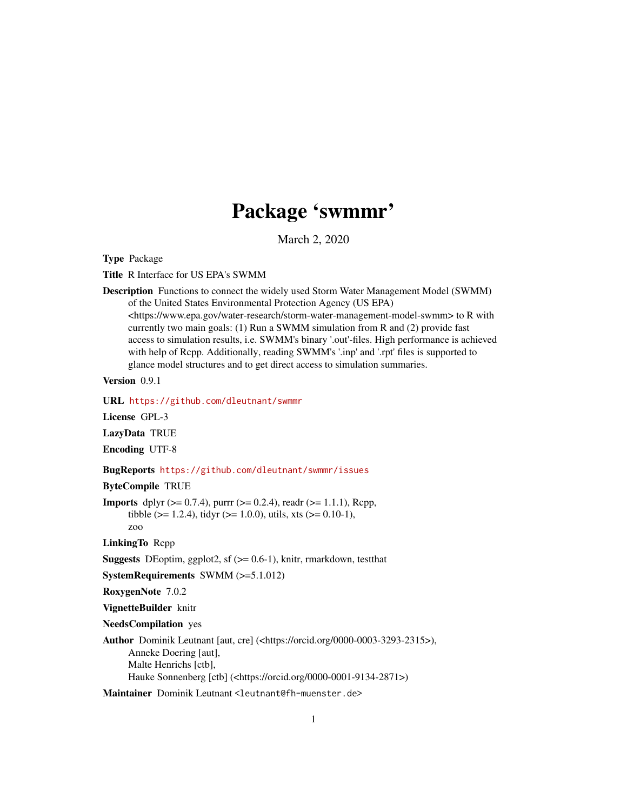# Package 'swmmr'

March 2, 2020

<span id="page-0-0"></span>Type Package

Title R Interface for US EPA's SWMM

Description Functions to connect the widely used Storm Water Management Model (SWMM) of the United States Environmental Protection Agency (US EPA) <https://www.epa.gov/water-research/storm-water-management-model-swmm> to R with currently two main goals: (1) Run a SWMM simulation from R and (2) provide fast access to simulation results, i.e. SWMM's binary '.out'-files. High performance is achieved with help of Rcpp. Additionally, reading SWMM's '.inp' and '.rpt' files is supported to glance model structures and to get direct access to simulation summaries.

Version 0.9.1

URL <https://github.com/dleutnant/swmmr>

License GPL-3

LazyData TRUE

Encoding UTF-8

#### BugReports <https://github.com/dleutnant/swmmr/issues>

ByteCompile TRUE

**Imports** dplyr ( $>= 0.7.4$ ), purrr ( $>= 0.2.4$ ), readr ( $>= 1.1.1$ ), Rcpp, tibble ( $>= 1.2.4$ ), tidyr ( $>= 1.0.0$ ), utils, xts ( $>= 0.10-1$ ), zoo

LinkingTo Rcpp

**Suggests** DEoptim, ggplot<sub>2</sub>, sf  $(>= 0.6-1)$ , knitr, rmarkdown, test that

SystemRequirements SWMM (>=5.1.012)

RoxygenNote 7.0.2

VignetteBuilder knitr

NeedsCompilation yes

Author Dominik Leutnant [aut, cre] (<https://orcid.org/0000-0003-3293-2315>), Anneke Doering [aut], Malte Henrichs [ctb], Hauke Sonnenberg [ctb] (<https://orcid.org/0000-0001-9134-2871>)

Maintainer Dominik Leutnant <leutnant@fh-muenster.de>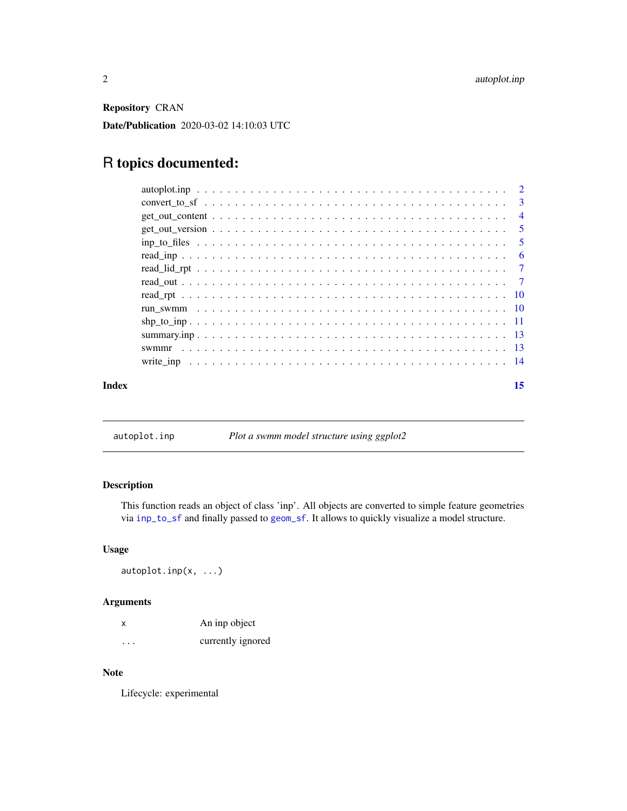<span id="page-1-0"></span>Repository CRAN

Date/Publication 2020-03-02 14:10:03 UTC

# R topics documented:

| Index |                                                                                                                         | 15 |
|-------|-------------------------------------------------------------------------------------------------------------------------|----|
|       |                                                                                                                         |    |
|       |                                                                                                                         |    |
|       |                                                                                                                         |    |
|       |                                                                                                                         |    |
|       |                                                                                                                         |    |
|       |                                                                                                                         |    |
|       |                                                                                                                         |    |
|       |                                                                                                                         |    |
|       |                                                                                                                         |    |
|       | $\text{inp\_to\_files} \dots \dots \dots \dots \dots \dots \dots \dots \dots \dots \dots \dots \dots \dots \dots \dots$ |    |
|       |                                                                                                                         |    |
|       |                                                                                                                         |    |
|       |                                                                                                                         |    |
|       |                                                                                                                         |    |

autoplot.inp *Plot a swmm model structure using ggplot2*

# Description

This function reads an object of class 'inp'. All objects are converted to simple feature geometries via [inp\\_to\\_sf](#page-2-1) and finally passed to [geom\\_sf](#page-0-0). It allows to quickly visualize a model structure.

#### Usage

autoplot.inp(x, ...)

### Arguments

| x        | An inp object     |
|----------|-------------------|
| $\cdots$ | currently ignored |

#### Note

Lifecycle: experimental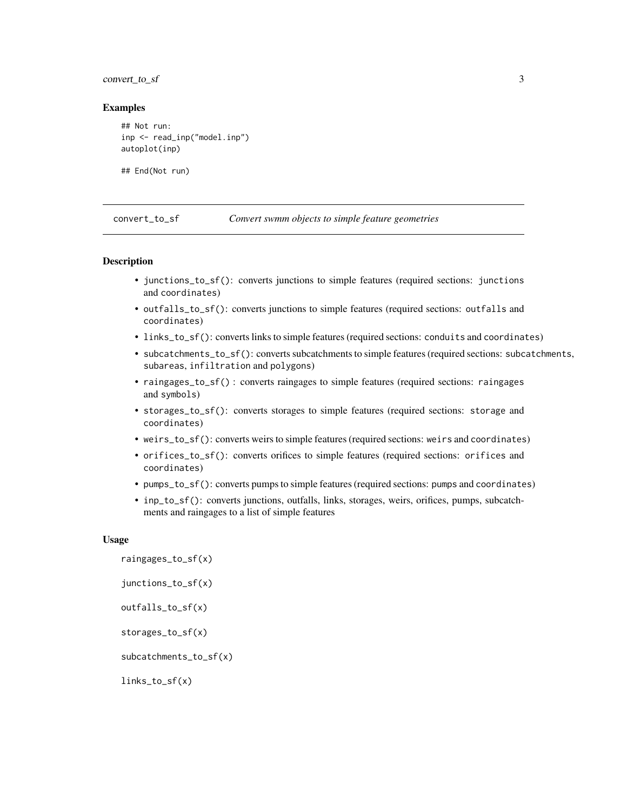#### <span id="page-2-0"></span>convert\_to\_sf 3

#### Examples

```
## Not run:
inp <- read_inp("model.inp")
autoplot(inp)
```
## End(Not run)

convert\_to\_sf *Convert swmm objects to simple feature geometries*

#### <span id="page-2-1"></span>Description

- junctions\_to\_sf(): converts junctions to simple features (required sections: junctions and coordinates)
- outfalls\_to\_sf(): converts junctions to simple features (required sections: outfalls and coordinates)
- links\_to\_sf(): converts links to simple features (required sections: conduits and coordinates)
- subcatchments\_to\_sf(): converts subcatchments to simple features (required sections: subcatchments, subareas, infiltration and polygons)
- raingages\_to\_sf() : converts raingages to simple features (required sections: raingages and symbols)
- storages\_to\_sf(): converts storages to simple features (required sections: storage and coordinates)
- weirs\_to\_sf(): converts weirs to simple features (required sections: weirs and coordinates)
- orifices\_to\_sf(): converts orifices to simple features (required sections: orifices and coordinates)
- pumps\_to\_sf(): converts pumps to simple features (required sections: pumps and coordinates)
- inp\_to\_sf(): converts junctions, outfalls, links, storages, weirs, orifices, pumps, subcatchments and raingages to a list of simple features

#### Usage

raingages\_to\_sf(x) junctions\_to\_sf(x) outfalls\_to\_sf(x) storages\_to\_sf(x) subcatchments\_to\_sf(x)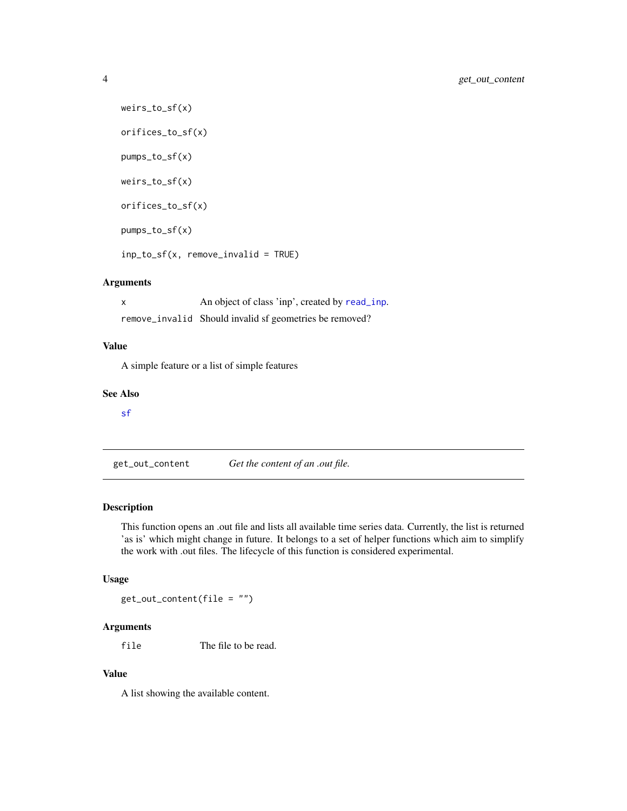```
weirs_to_sf(x)
orifices_to_sf(x)
pumps_to_sf(x)
weirs_to_sf(x)
orifices_to_sf(x)
pumps_to_sf(x)
inp_to_sf(x, remove_invalid = TRUE)
```
x An object of class 'inp', created by [read\\_inp](#page-5-1). remove\_invalid Should invalid sf geometries be removed?

#### Value

A simple feature or a list of simple features

#### See Also

[sf](#page-0-0)

get\_out\_content *Get the content of an .out file.*

#### Description

This function opens an .out file and lists all available time series data. Currently, the list is returned 'as is' which might change in future. It belongs to a set of helper functions which aim to simplify the work with .out files. The lifecycle of this function is considered experimental.

### Usage

get\_out\_content(file = "")

# Arguments

file The file to be read.

# Value

A list showing the available content.

<span id="page-3-0"></span>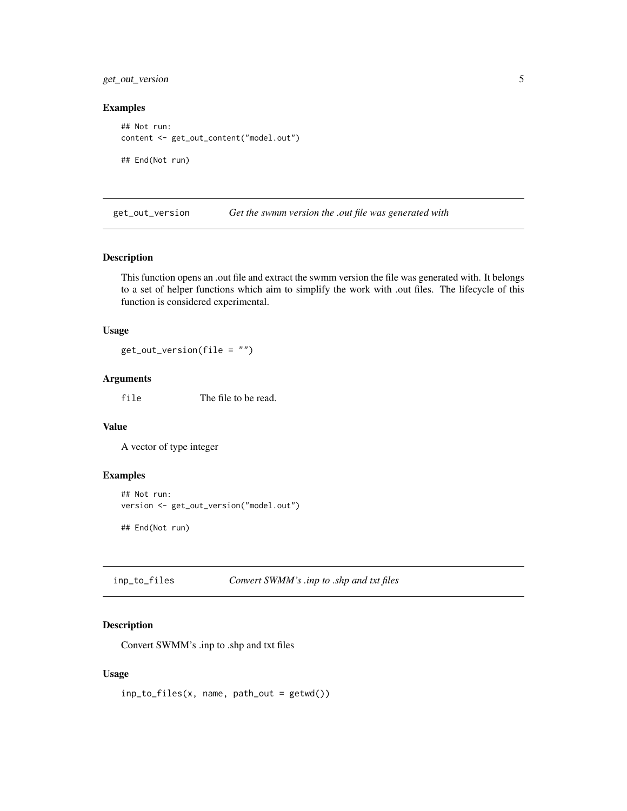<span id="page-4-0"></span>get\_out\_version 5

#### Examples

```
## Not run:
content <- get_out_content("model.out")
```
## End(Not run)

get\_out\_version *Get the swmm version the .out file was generated with*

#### Description

This function opens an .out file and extract the swmm version the file was generated with. It belongs to a set of helper functions which aim to simplify the work with .out files. The lifecycle of this function is considered experimental.

#### Usage

get\_out\_version(file = "")

# Arguments

file The file to be read.

#### Value

A vector of type integer

#### Examples

```
## Not run:
version <- get_out_version("model.out")
```
## End(Not run)

| inp_to_files | Convert SWMM's .inp to .shp and txt files |  |
|--------------|-------------------------------------------|--|
|              |                                           |  |

#### Description

Convert SWMM's .inp to .shp and txt files

#### Usage

 $inp_to_files(x, name, path_out = getwd())$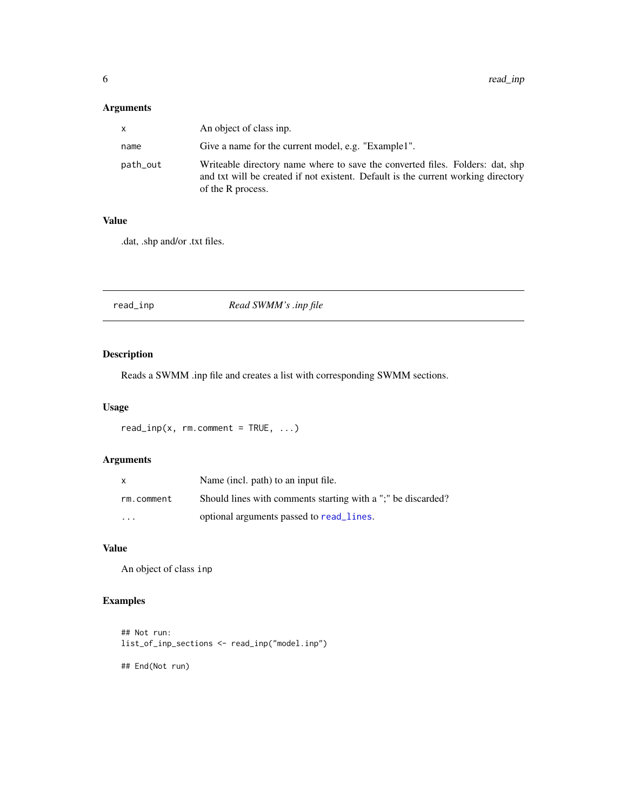<span id="page-5-0"></span>

| x.       | An object of class inp.                                                                                                                                                                 |
|----------|-----------------------------------------------------------------------------------------------------------------------------------------------------------------------------------------|
| name     | Give a name for the current model, e.g. "Example1".                                                                                                                                     |
| path_out | Writeable directory name where to save the converted files. Folders: dat, shp<br>and txt will be created if not existent. Default is the current working directory<br>of the R process. |

#### Value

.dat, .shp and/or .txt files.

<span id="page-5-1"></span>

| Read SWMM's .inp file<br>read_inp |  |
|-----------------------------------|--|
|-----------------------------------|--|

# Description

Reads a SWMM .inp file and creates a list with corresponding SWMM sections.

# Usage

```
read\_inp(x, rm.comment = TRUE, ...)
```
### Arguments

| X          | Name (incl. path) to an input file.                          |
|------------|--------------------------------------------------------------|
| rm.comment | Should lines with comments starting with a ";" be discarded? |
| $\cdots$   | optional arguments passed to read_lines.                     |

# Value

An object of class inp

### Examples

```
## Not run:
list_of_inp_sections <- read_inp("model.inp")
```
## End(Not run)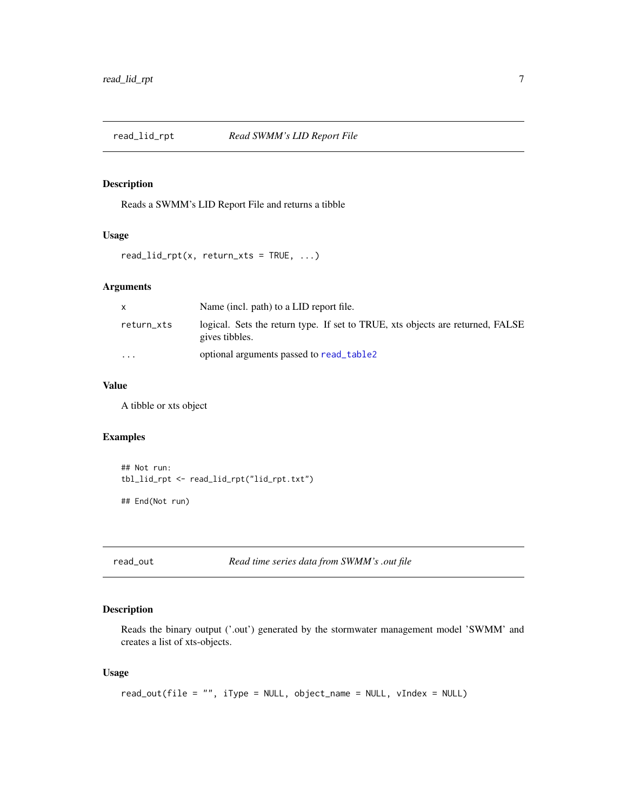<span id="page-6-0"></span>

### Description

Reads a SWMM's LID Report File and returns a tibble

### Usage

```
read\_lid\_rpt(x, return\_xts = TRUE, ...)
```
### Arguments

| X          | Name (incl. path) to a LID report file.                                                          |
|------------|--------------------------------------------------------------------------------------------------|
| return_xts | logical. Sets the return type. If set to TRUE, xts objects are returned, FALSE<br>gives tibbles. |
| $\cdots$   | optional arguments passed to read_table2                                                         |

#### Value

A tibble or xts object

### Examples

```
## Not run:
tbl_lid_rpt <- read_lid_rpt("lid_rpt.txt")
## End(Not run)
```
read\_out *Read time series data from SWMM's .out file*

# Description

Reads the binary output ('.out') generated by the stormwater management model 'SWMM' and creates a list of xts-objects.

#### Usage

```
read_out(file = "", iType = NULL, object_name = NULL, vIndex = NULL)
```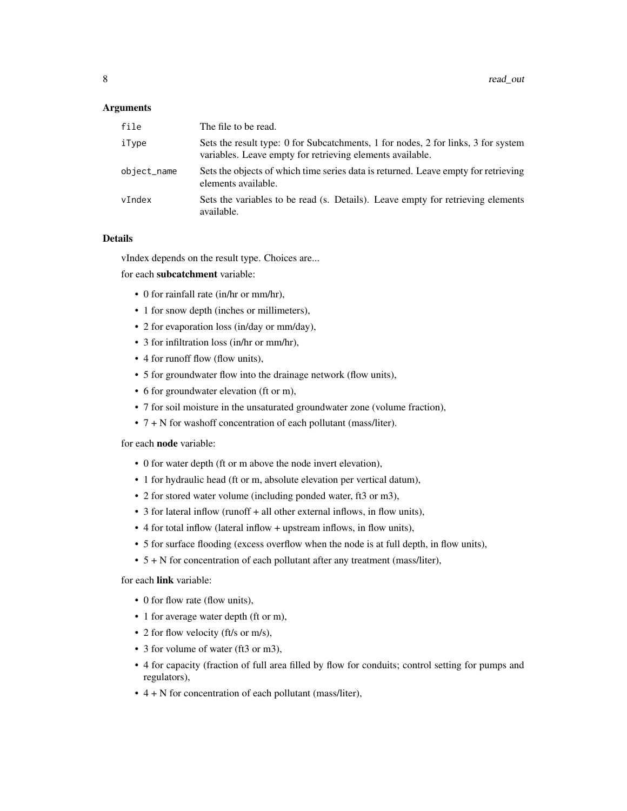| file        | The file to be read.                                                                                                                           |
|-------------|------------------------------------------------------------------------------------------------------------------------------------------------|
| iType       | Sets the result type: 0 for Subcatchments, 1 for nodes, 2 for links, 3 for system<br>variables. Leave empty for retrieving elements available. |
| object_name | Sets the objects of which time series data is returned. Leave empty for retrieving<br>elements available.                                      |
| vIndex      | Sets the variables to be read (s. Details). Leave empty for retrieving elements<br>available.                                                  |

#### Details

vIndex depends on the result type. Choices are...

for each subcatchment variable:

- 0 for rainfall rate (in/hr or mm/hr),
- 1 for snow depth (inches or millimeters),
- 2 for evaporation loss (in/day or mm/day),
- 3 for infiltration loss (in/hr or mm/hr),
- 4 for runoff flow (flow units),
- 5 for groundwater flow into the drainage network (flow units),
- 6 for groundwater elevation (ft or m),
- 7 for soil moisture in the unsaturated groundwater zone (volume fraction),
- 7 + N for washoff concentration of each pollutant (mass/liter).

for each node variable:

- 0 for water depth (ft or m above the node invert elevation),
- 1 for hydraulic head (ft or m, absolute elevation per vertical datum),
- 2 for stored water volume (including ponded water, ft3 or m3),
- 3 for lateral inflow (runoff + all other external inflows, in flow units),
- 4 for total inflow (lateral inflow + upstream inflows, in flow units),
- 5 for surface flooding (excess overflow when the node is at full depth, in flow units),
- 5 + N for concentration of each pollutant after any treatment (mass/liter),

for each link variable:

- 0 for flow rate (flow units),
- 1 for average water depth (ft or m),
- 2 for flow velocity (ft/s or m/s),
- 3 for volume of water (ft3 or m3),
- 4 for capacity (fraction of full area filled by flow for conduits; control setting for pumps and regulators),
- 4 + N for concentration of each pollutant (mass/liter),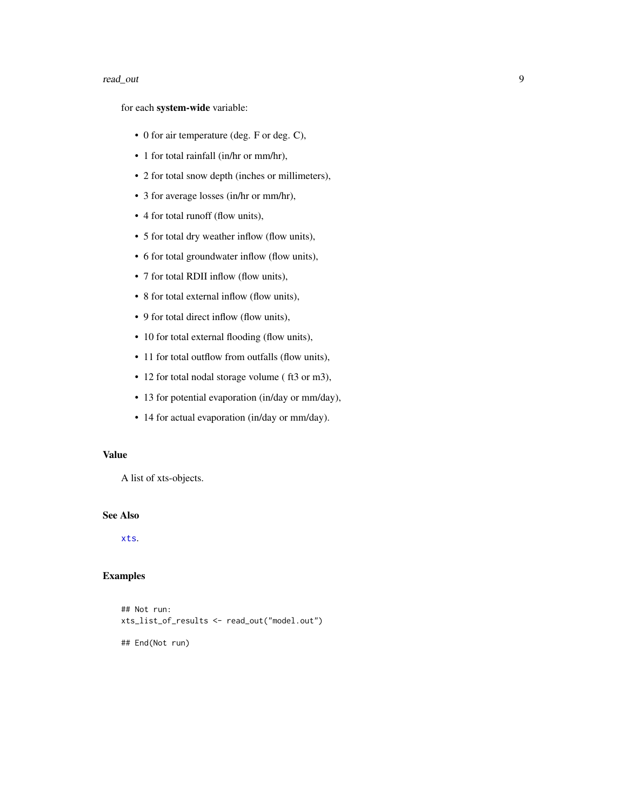#### <span id="page-8-0"></span>read\_out 9

for each system-wide variable:

- 0 for air temperature (deg. F or deg. C),
- 1 for total rainfall (in/hr or mm/hr),
- 2 for total snow depth (inches or millimeters),
- 3 for average losses (in/hr or mm/hr),
- 4 for total runoff (flow units),
- 5 for total dry weather inflow (flow units),
- 6 for total groundwater inflow (flow units),
- 7 for total RDII inflow (flow units),
- 8 for total external inflow (flow units),
- 9 for total direct inflow (flow units),
- 10 for total external flooding (flow units),
- 11 for total outflow from outfalls (flow units),
- 12 for total nodal storage volume (ft3 or m3),
- 13 for potential evaporation (in/day or mm/day),
- 14 for actual evaporation (in/day or mm/day).

#### Value

A list of xts-objects.

#### See Also

[xts](#page-0-0).

# Examples

## Not run: xts\_list\_of\_results <- read\_out("model.out")

## End(Not run)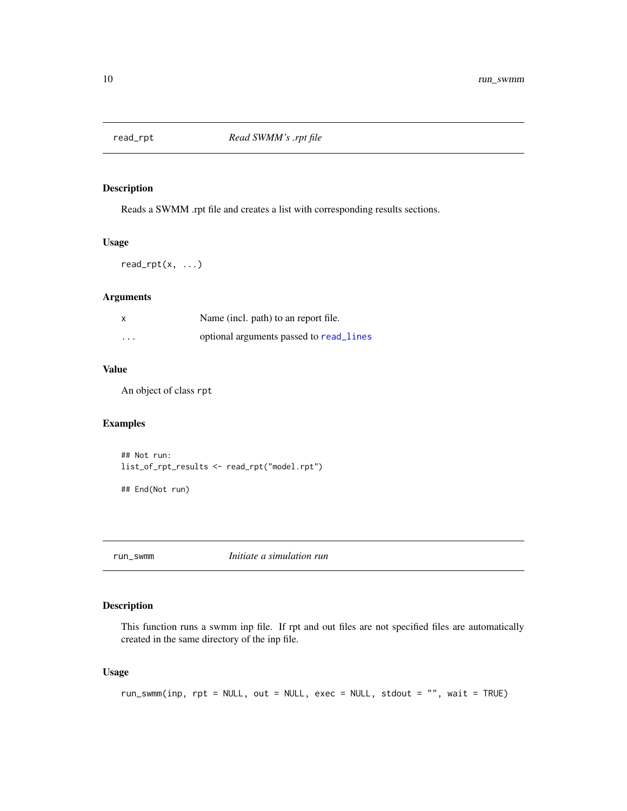<span id="page-9-0"></span>

### Description

Reads a SWMM .rpt file and creates a list with corresponding results sections.

#### Usage

 $read_rpt(x, ...)$ 

#### Arguments

|          | Name (incl. path) to an report file.    |
|----------|-----------------------------------------|
| $\cdots$ | optional arguments passed to read lines |

#### Value

An object of class rpt

### Examples

```
## Not run:
list_of_rpt_results <- read_rpt("model.rpt")
```
## End(Not run)

run\_swmm *Initiate a simulation run*

### Description

This function runs a swmm inp file. If rpt and out files are not specified files are automatically created in the same directory of the inp file.

#### Usage

```
run_swmm(inp, rpt = NULL, out = NULL, exec = NULL, stdout = "", wait = TRUE)
```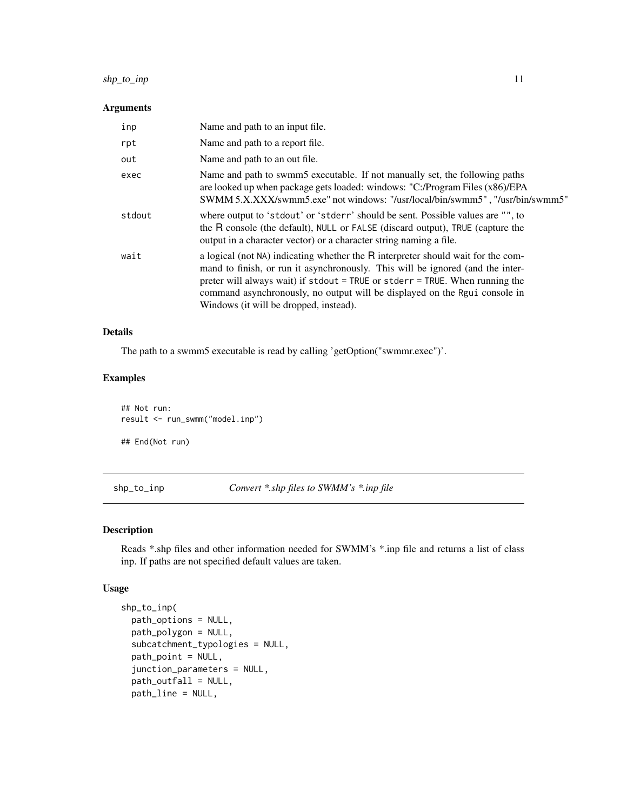### <span id="page-10-0"></span>shp\_to\_inp 11

#### Arguments

| inp    | Name and path to an input file.                                                                                                                                                                                                                                                                                                                                                 |
|--------|---------------------------------------------------------------------------------------------------------------------------------------------------------------------------------------------------------------------------------------------------------------------------------------------------------------------------------------------------------------------------------|
| rpt    | Name and path to a report file.                                                                                                                                                                                                                                                                                                                                                 |
| out    | Name and path to an out file.                                                                                                                                                                                                                                                                                                                                                   |
| exec   | Name and path to swmm5 executable. If not manually set, the following paths<br>are looked up when package gets loaded: windows: "C:/Program Files (x86)/EPA<br>SWMM 5.X.XXX/swmm5.exe" not windows: "/usr/local/bin/swmm5", "/usr/bin/swmm5"                                                                                                                                    |
| stdout | where output to 'stdout' or 'stderr' should be sent. Possible values are "", to<br>the R console (the default), NULL or FALSE (discard output), TRUE (capture the<br>output in a character vector) or a character string naming a file.                                                                                                                                         |
| wait   | a logical (not NA) indicating whether the R interpreter should wait for the com-<br>mand to finish, or run it asynchronously. This will be ignored (and the inter-<br>preter will always wait) if $stdout = TRUE$ or $stderr = TRUE$ . When running the<br>command asynchronously, no output will be displayed on the Rgui console in<br>Windows (it will be dropped, instead). |

# Details

The path to a swmm5 executable is read by calling 'getOption("swmmr.exec")'.

#### Examples

## Not run: result <- run\_swmm("model.inp") ## End(Not run)

shp\_to\_inp *Convert \*.shp files to SWMM's \*.inp file*

#### Description

Reads \*.shp files and other information needed for SWMM's \*.inp file and returns a list of class inp. If paths are not specified default values are taken.

#### Usage

```
shp_to_inp(
 path_options = NULL,
 path_polygon = NULL,
  subcatchment_typologies = NULL,
 path_point = NULL,
  junction_parameters = NULL,
  path_outfall = NULL,
 path_line = NULL,
```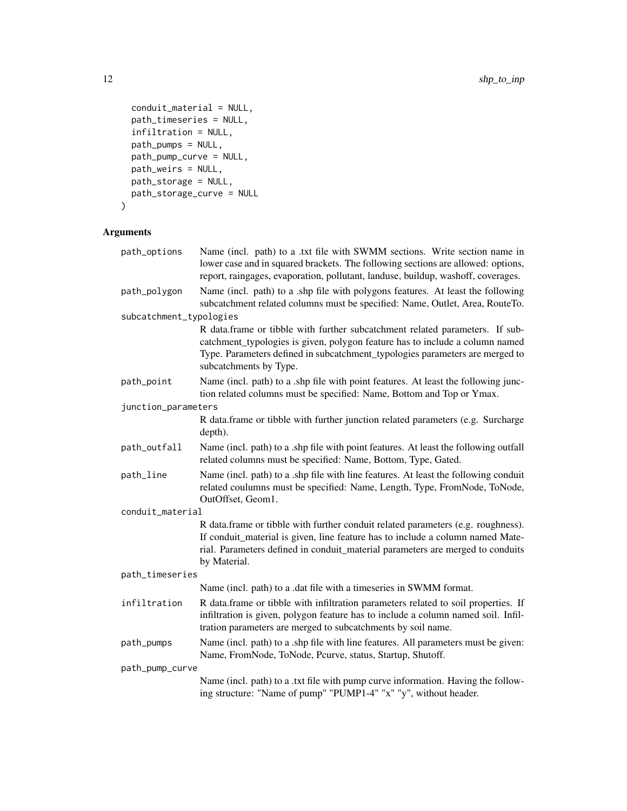```
conduit_material = NULL,
 path_timeseries = NULL,
 infiltration = NULL,
 path_pumps = NULL,
 path_pump_curve = NULL,
 path_weirs = NULL,
 path_storage = NULL,
 path_storage_curve = NULL
\mathcal{L}
```

| path_options            | Name (incl. path) to a .txt file with SWMM sections. Write section name in<br>lower case and in squared brackets. The following sections are allowed: options,<br>report, raingages, evaporation, pollutant, landuse, buildup, washoff, coverages.                     |  |  |
|-------------------------|------------------------------------------------------------------------------------------------------------------------------------------------------------------------------------------------------------------------------------------------------------------------|--|--|
| path_polygon            | Name (incl. path) to a .shp file with polygons features. At least the following<br>subcatchment related columns must be specified: Name, Outlet, Area, RouteTo.                                                                                                        |  |  |
| subcatchment_typologies |                                                                                                                                                                                                                                                                        |  |  |
|                         | R data.frame or tibble with further subcatchment related parameters. If sub-<br>catchment_typologies is given, polygon feature has to include a column named<br>Type. Parameters defined in subcatchment_typologies parameters are merged to<br>subcatchments by Type. |  |  |
| path_point              | Name (incl. path) to a .shp file with point features. At least the following junc-<br>tion related columns must be specified: Name, Bottom and Top or Ymax.                                                                                                            |  |  |
| junction_parameters     |                                                                                                                                                                                                                                                                        |  |  |
|                         | R data.frame or tibble with further junction related parameters (e.g. Surcharge<br>depth).                                                                                                                                                                             |  |  |
| path_outfall            | Name (incl. path) to a .shp file with point features. At least the following outfall<br>related columns must be specified: Name, Bottom, Type, Gated.                                                                                                                  |  |  |
| path_line               | Name (incl. path) to a .shp file with line features. At least the following conduit<br>related coulumns must be specified: Name, Length, Type, FromNode, ToNode,<br>OutOffset, Geom1.                                                                                  |  |  |
| conduit_material        |                                                                                                                                                                                                                                                                        |  |  |
|                         | R data.frame or tibble with further conduit related parameters (e.g. roughness).<br>If conduit_material is given, line feature has to include a column named Mate-<br>rial. Parameters defined in conduit_material parameters are merged to conduits<br>by Material.   |  |  |
| path_timeseries         |                                                                                                                                                                                                                                                                        |  |  |
|                         | Name (incl. path) to a .dat file with a timeseries in SWMM format.                                                                                                                                                                                                     |  |  |
| infiltration            | R data.frame or tibble with infiltration parameters related to soil properties. If<br>infiltration is given, polygon feature has to include a column named soil. Infil-<br>tration parameters are merged to subcatchments by soil name.                                |  |  |
| path_pumps              | Name (incl. path) to a .shp file with line features. All parameters must be given:<br>Name, FromNode, ToNode, Pcurve, status, Startup, Shutoff.                                                                                                                        |  |  |
| path_pump_curve         |                                                                                                                                                                                                                                                                        |  |  |
|                         | Name (incl. path) to a .txt file with pump curve information. Having the follow-<br>ing structure: "Name of pump" "PUMP1-4" "x" "y", without header.                                                                                                                   |  |  |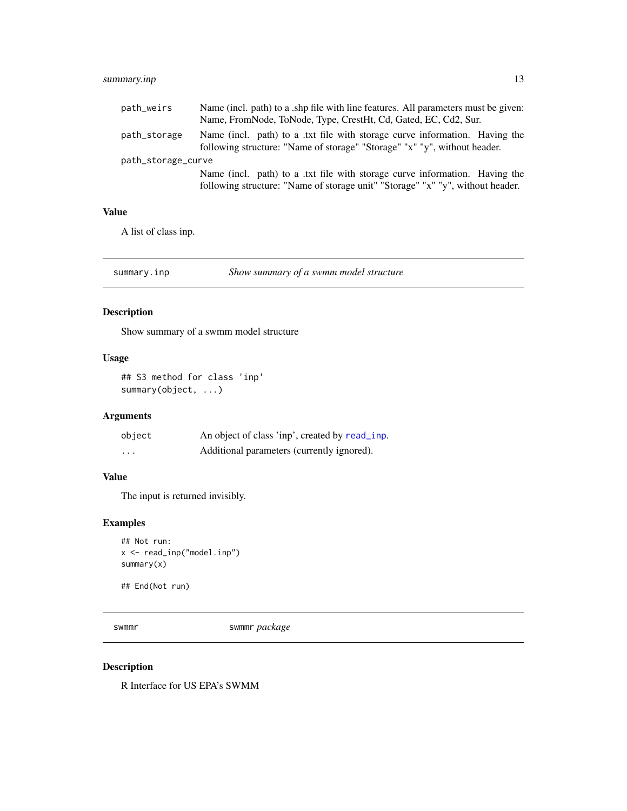### <span id="page-12-0"></span>summary.inp 13

| path_weirs         | Name (incl. path) to a shp file with line features. All parameters must be given:                                                                       |
|--------------------|---------------------------------------------------------------------------------------------------------------------------------------------------------|
|                    | Name, FromNode, ToNode, Type, CrestHt, Cd, Gated, EC, Cd2, Sur.                                                                                         |
| path_storage       | Name (incl. path) to a txt file with storage curve information. Having the<br>following structure: "Name of storage" "Storage" "x" "y", without header. |
| path_storage_curve |                                                                                                                                                         |
|                    | Name (incl. path) to a txt file with storage curve information. Having the                                                                              |
|                    | following structure: "Name of storage unit" "Storage" "x" "y", without header.                                                                          |

#### Value

A list of class inp.

summary.inp *Show summary of a swmm model structure*

# Description

Show summary of a swmm model structure

#### Usage

## S3 method for class 'inp' summary(object, ...)

# Arguments

| object | An object of class 'inp', created by read_inp. |
|--------|------------------------------------------------|
| .      | Additional parameters (currently ignored).     |

### Value

The input is returned invisibly.

### Examples

```
## Not run:
x <- read_inp("model.inp")
summary(x)
```
## End(Not run)

swmmr swmmr *package*

# Description

R Interface for US EPA's SWMM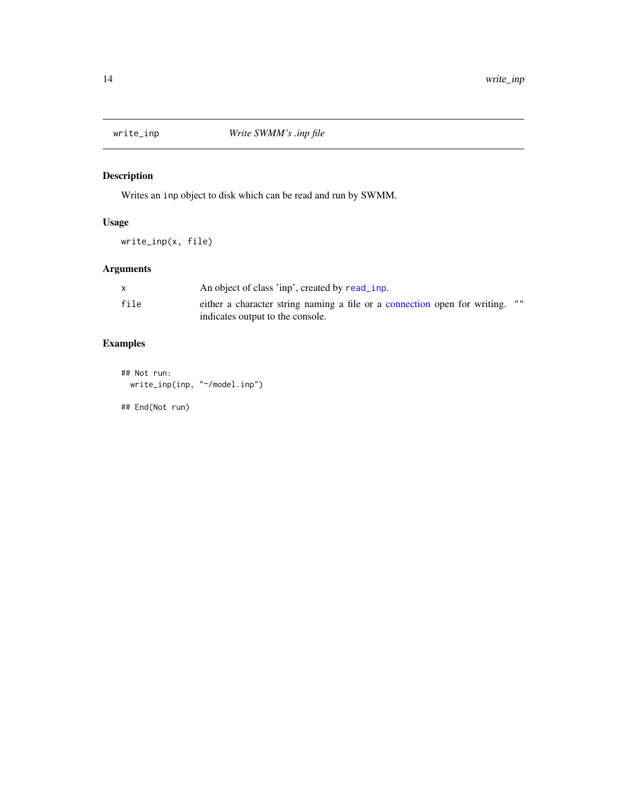<span id="page-13-0"></span>

# Description

Writes an inp object to disk which can be read and run by SWMM.

### Usage

write\_inp(x, file)

# Arguments

|      | An object of class 'inp', created by read inp.                                   |
|------|----------------------------------------------------------------------------------|
| file | " "<br>either a character string naming a file or a connection open for writing. |
|      | indicates output to the console.                                                 |

# Examples

## Not run: write\_inp(inp, "~/model.inp")

## End(Not run)